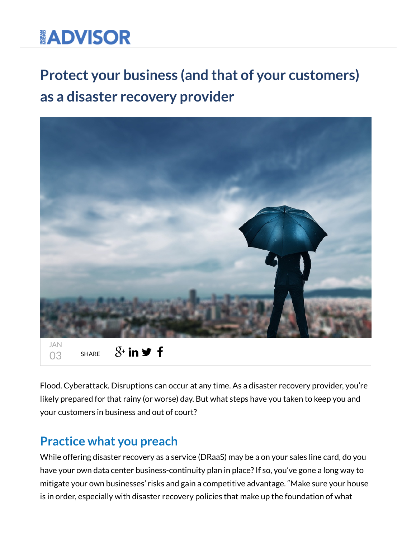# **ADVISOR**

## Protect your business (and that of your customers) as a disaster recovery provider



Flood. Cyberattack. Disruptions can occur at any time. As a disaster recovery provider, you're likely prepared for that rainy (or worse) day. But what steps have you taken to keep you and your customers in business and out of court?

#### Practice what you preach

While offering disaster recovery as a service (DRaaS) may be a on your sales line card, do you have your own data center business-continuity plan in place? If so, you've gone a long way to mitigate your own businesses' risks and gain a competitive advantage. "Make sure your house is in order, especially with disaster recovery policies that make up the foundation of what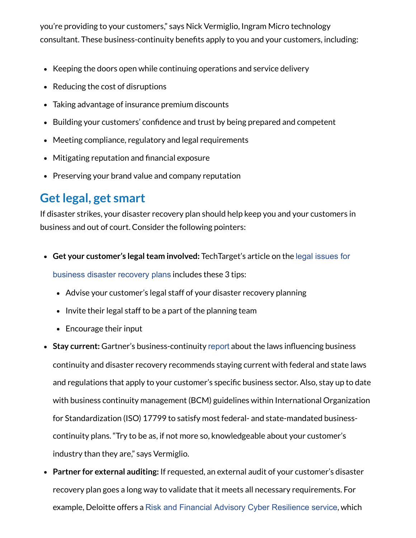you're providing to your customers," says Nick Vermiglio, Ingram Micro technology consultant. These business-continuity benefits apply to you and your customers, including:

- Keeping the doors open while continuing operations and service delivery
- Reducing the cost of disruptions
- Taking advantage of insurance premium discounts
- Building your customers' confidence and trust by being prepared and competent
- Meeting compliance, regulatory and legal requirements
- $\bullet$  Mitigating reputation and financial exposure
- Preserving your brand value and company reputation

#### Get legal, get smart

If disaster strikes, your disaster recovery plan should help keep you and your customers in business and out of court. Consider the following pointers:

- Get your customer's legal team involved: TechTarget's article on the legal issues for [business disaster recovery plans](http://searchdisasterrecovery.techtarget.com/tip/Legal-issues-for-business-disaster-recovery-plans) includes these 3 tips:
	- Advise your customer's legal staff of your disaster recovery planning
	- Invite their legal staff to be a part of the planning team
	- Encourage their input
- Stay current: Gartner's business-continuity [report](https://www.gartner.com/doc/483265/laws-influence-business-continuity-disaster) about the laws influencing business continuity and disaster recovery recommends staying current with federal and state laws and regulations that apply to your customer's specific business sector. Also, stay up to date with business continuity management (BCM) guidelines within International Organization for Standardization (ISO) 17799 to satisfy most federal- and state-mandated businesscontinuity plans. "Try to be as, if not more so, knowledgeable about your customer's industry than they are," says Vermiglio.
- Partner for external auditing: If requested, an external audit of your customer's disaster recovery plan goes a long way to validate that it meets all necessary requirements. For example, Deloitte offers a [Risk and Financial Advisory Cyber Resilience service](https://www2.deloitte.com/us/en/pages/risk/solutions/cyber-risk-services.html?id=us:2ps:3gl:risk:eng:adv:041116:na:na:mIU05ykt:952189586:192813268951:b:Brand_Cyber_Risk:Brand_Cyber_Risk_BMM:br), which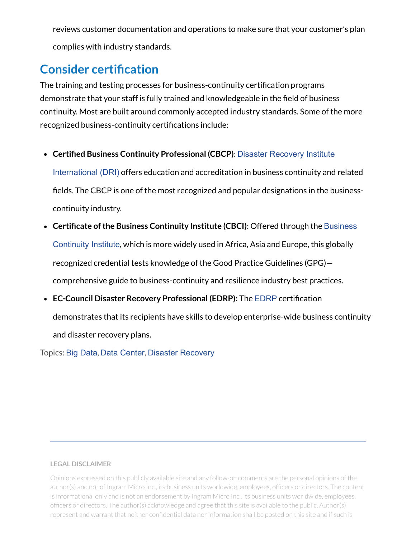reviews customer documentation and operations to make sure that your customer's plan complies with industry standards.

### **Consider certification**

The training and testing processes for business-continuity certification programs demonstrate that your staff is fully trained and knowledgeable in the field of business continuity. Most are built around commonly accepted industry standards. Some of the more recognized business-continuity certifications include:

• Certified Business Continuity Professional (CBCP): [Disaster Recovery Institute](https://drii.org/certification/cbcp)

International (DRI) offers education and accreditation in business continuity and related fields. The CBCP is one of the most recognized and popular designations in the businesscontinuity industry.

- Certificate of the Business Continuity Institute (CBCI): Offered through the Business [Continuity Institute](https://www.thebci.org/), which is more widely used in Africa, Asia and Europe, this globally recognized credential tests knowledge of the Good Practice Guidelines (GPG) comprehensive guide to business-continuity and resilience industry best practices.
- EC-Council Disaster Recovery Professional ([EDRP](https://www.eccouncil.org/programs/disaster-recovery-professional-edrp/)): The EDRP certification demonstrates that its recipients have skills to develop enterprise-wide business continuity and disaster recovery plans.

Topics: [Big Data](http://www.ingrammicroadvisor.com/data-center/topic/big-data), [Data Center](http://www.ingrammicroadvisor.com/data-center/topic/data-center), [Disaster Recovery](http://www.ingrammicroadvisor.com/data-center/topic/disaster-recovery)

#### LEGAL DISCLAIMER

Opinions expressed on this publicly available site and any follow-on comments are the personal opinions of the author(s) and not of Ingram Micro Inc., its business units worldwide, employees, officers or directors. The content is informational only and is not an endorsement by Ingram Micro Inc., its business units worldwide, employees, officers or directors. The author(s) acknowledge and agree that this site is available to the public. Author(s) represent and warrant that neither confidential data nor information shall be posted on this site and if such is